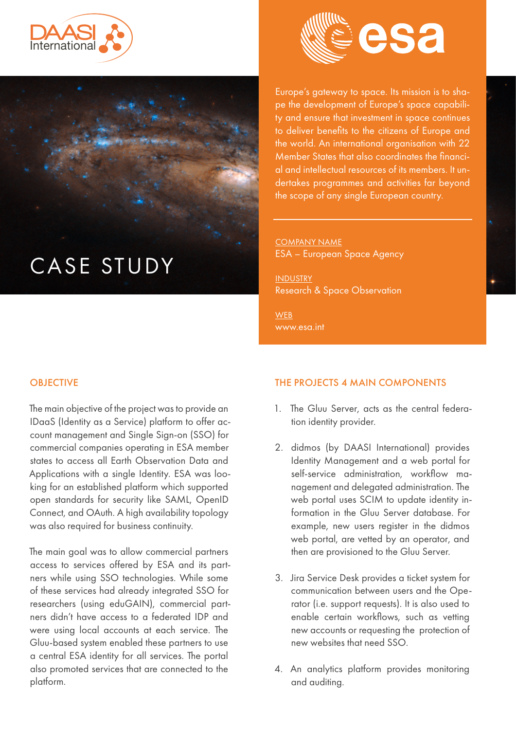





Europe's gateway to space. Its mission is to shape the development of Europe's space capability and ensure that investment in space continues to deliver benefits to the citizens of Europe and the world. An international organisation with 22 Member States that also coordinates the financial and intellectual resources of its members. It undertakes programmes and activities far beyond the scope of any single European country.

COMPANY NAME ESA – European Space Agency

INDUSTRY Research & Space Observation

**WEB** [www.esa.int](https://www.esa.int/)

## **OBJECTIVE**

The main objective of the project was to provide an IDaaS (Identity as a Service) platform to offer account management and Single Sign-on (SSO) for commercial companies operating in ESA member states to access all Earth Observation Data and Applications with a single Identity. ESA was looking for an established platform which supported open standards for security like SAML, OpenID Connect, and OAuth. A high availability topology was also required for business continuity.

The main goal was to allow commercial partners access to services offered by ESA and its partners while using SSO technologies. While some of these services had already integrated SSO for researchers (using eduGAIN), commercial partners didn't have access to a federated IDP and were using local accounts at each service. The Gluu-based system enabled these partners to use a central ESA identity for all services. The portal also promoted services that are connected to the platform.

# THE PROJECTS 4 MAIN COMPONENTS

- 1. The Gluu Server, acts as the central federation identity provider.
- 2. didmos (by DAASI International) provides Identity Management and a web portal for self-service administration, workflow management and delegated administration. The web portal uses SCIM to update identity information in the Gluu Server database. For example, new users register in the didmos web portal, are vetted by an operator, and then are provisioned to the Gluu Server.
- 3. Jira Service Desk provides a ticket system for communication between users and the Operator (i.e. support requests). It is also used to enable certain workflows, such as vetting new accounts or requesting the protection of new websites that need SSO.
- 4. An analytics platform provides monitoring and auditing.